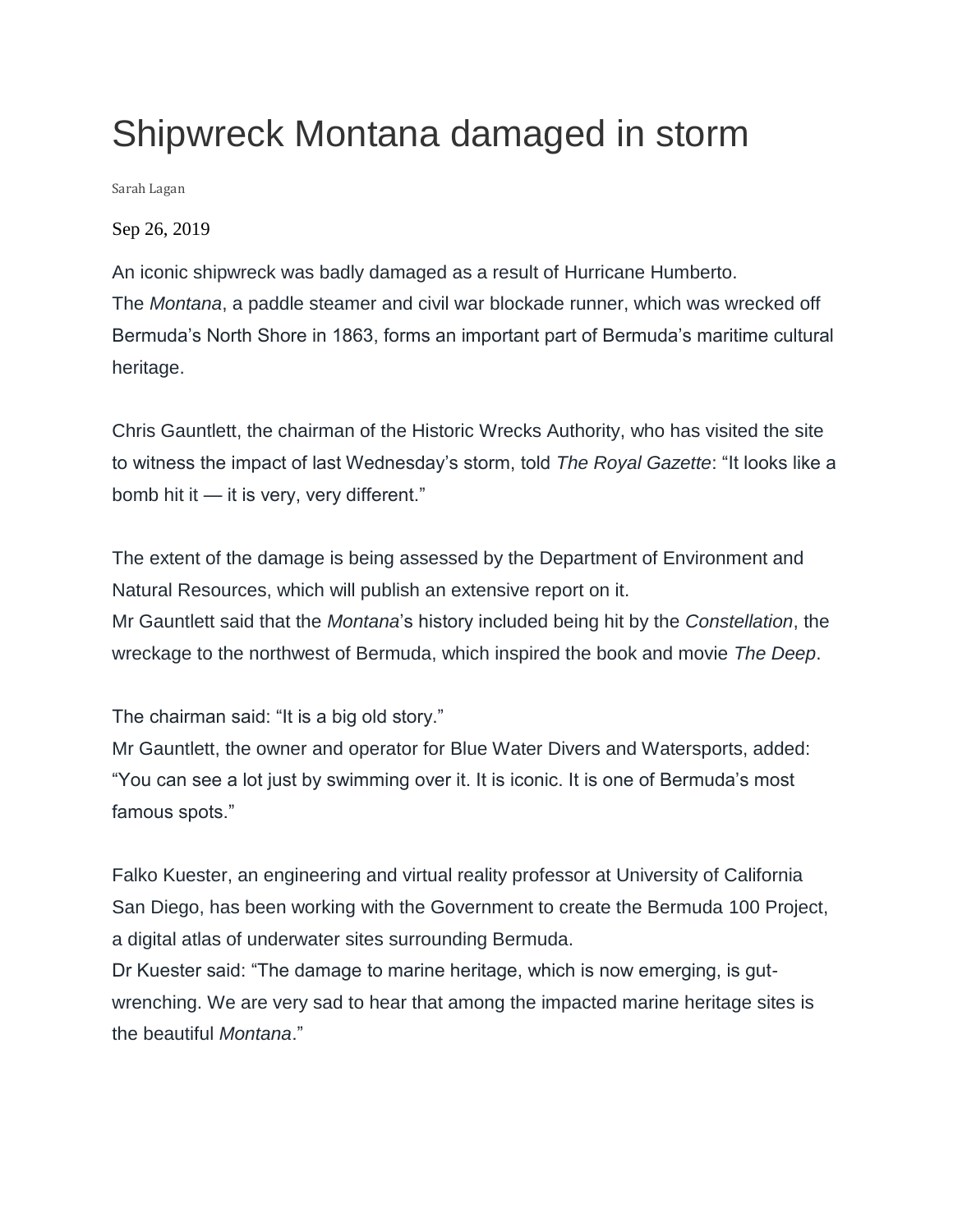## Shipwreck Montana damaged in storm

Sarah Lagan

Sep 26, 2019

An iconic shipwreck was badly damaged as a result of Hurricane Humberto. The *Montana*, a paddle steamer and civil war blockade runner, which was wrecked off Bermuda's North Shore in 1863, forms an important part of Bermuda's maritime cultural heritage.

Chris Gauntlett, the chairman of the Historic Wrecks Authority, who has visited the site to witness the impact of last Wednesday's storm, told *The Royal Gazette*: "It looks like a bomb hit it — it is very, very different."

The extent of the damage is being assessed by the Department of Environment and Natural Resources, which will publish an extensive report on it. Mr Gauntlett said that the *Montana*'s history included being hit by the *Constellation*, the wreckage to the northwest of Bermuda, which inspired the book and movie *The Deep*.

The chairman said: "It is a big old story."

Mr Gauntlett, the owner and operator for Blue Water Divers and Watersports, added: "You can see a lot just by swimming over it. It is iconic. It is one of Bermuda's most famous spots."

Falko Kuester, an engineering and virtual reality professor at University of California San Diego, has been working with the Government to create the Bermuda 100 Project, a digital atlas of underwater sites surrounding Bermuda.

Dr Kuester said: "The damage to marine heritage, which is now emerging, is gutwrenching. We are very sad to hear that among the impacted marine heritage sites is the beautiful *Montana*."